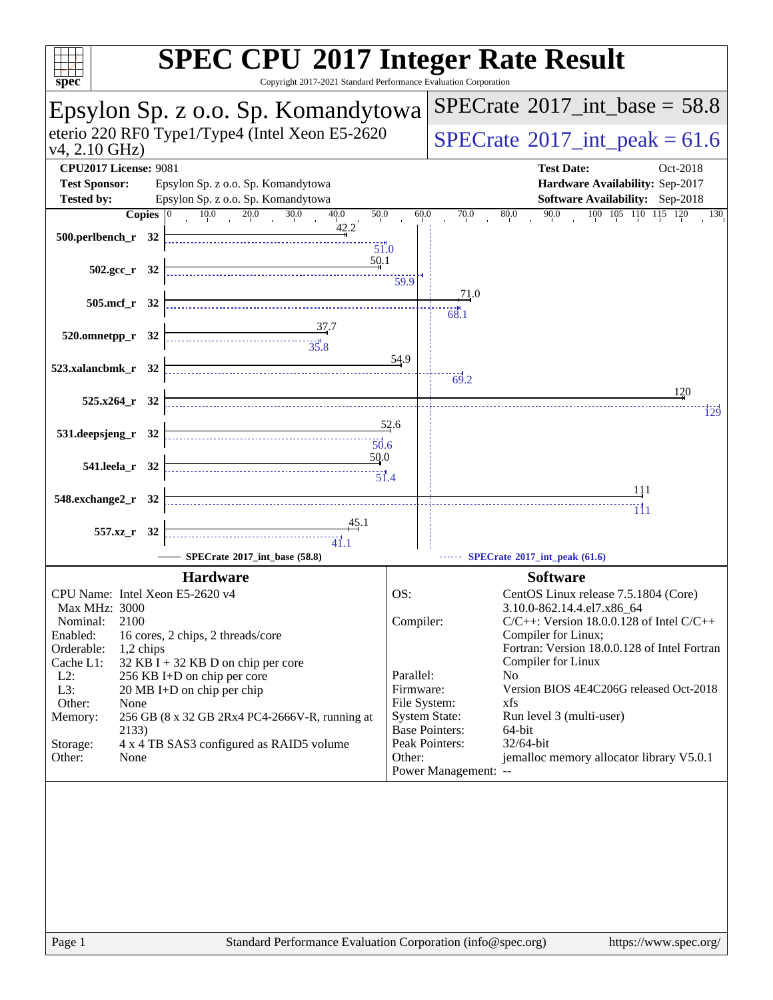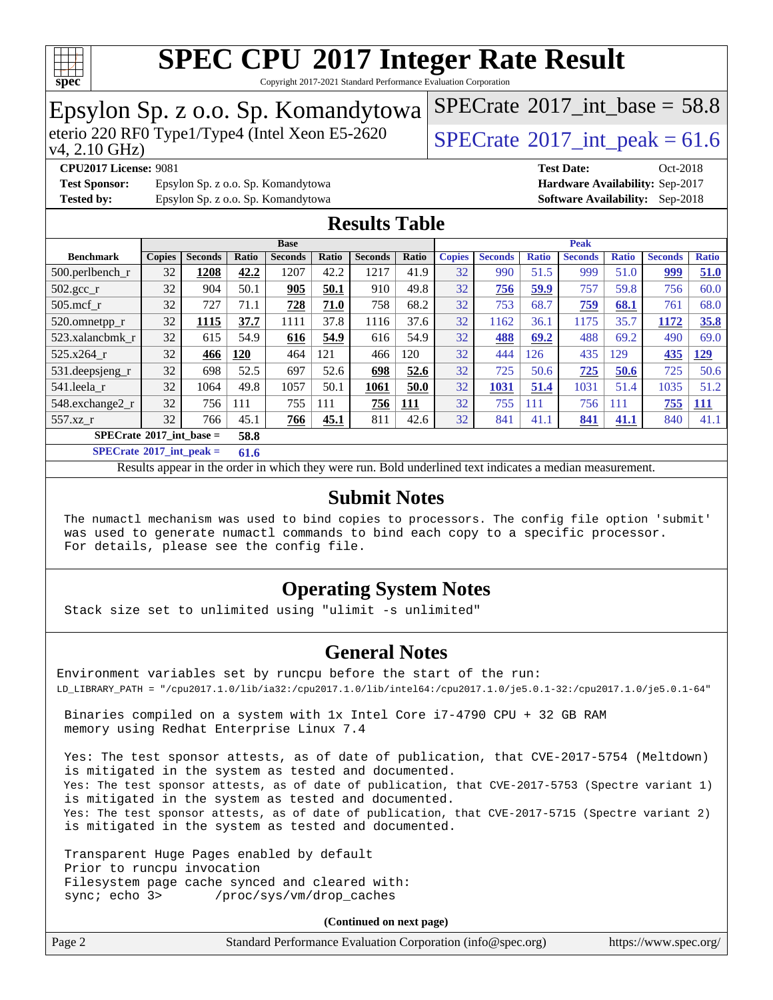

Copyright 2017-2021 Standard Performance Evaluation Corporation

# Epsylon Sp. z o.o. Sp. Komandytowa<br>eterio 220 RF0 Type1/Type4 (Intel Xeon E5-2620

[SPECrate](http://www.spec.org/auto/cpu2017/Docs/result-fields.html#SPECrate2017intbase)<sup>®</sup>2017 int\_base =  $58.8$ 

#### v4, 2.10 GHz)

**[CPU2017 License:](http://www.spec.org/auto/cpu2017/Docs/result-fields.html#CPU2017License)** 9081 **[Test Date:](http://www.spec.org/auto/cpu2017/Docs/result-fields.html#TestDate)** Oct-2018 **[Test Sponsor:](http://www.spec.org/auto/cpu2017/Docs/result-fields.html#TestSponsor)** Epsylon Sp. z o.o. Sp. Komandytowa **[Hardware Availability:](http://www.spec.org/auto/cpu2017/Docs/result-fields.html#HardwareAvailability)** Sep-2017

[SPECrate](http://www.spec.org/auto/cpu2017/Docs/result-fields.html#SPECrate2017intpeak)<sup>®</sup>2017 int peak = 61.6

**[Tested by:](http://www.spec.org/auto/cpu2017/Docs/result-fields.html#Testedby)** Epsylon Sp. z o.o. Sp. Komandytowa **[Software Availability:](http://www.spec.org/auto/cpu2017/Docs/result-fields.html#SoftwareAvailability)** Sep-2018

### **[Results Table](http://www.spec.org/auto/cpu2017/Docs/result-fields.html#ResultsTable)**

|                                           | <b>Base</b>   |                |       |                |              |                | <b>Peak</b> |               |                |              |                |              |                |              |
|-------------------------------------------|---------------|----------------|-------|----------------|--------------|----------------|-------------|---------------|----------------|--------------|----------------|--------------|----------------|--------------|
| <b>Benchmark</b>                          | <b>Copies</b> | <b>Seconds</b> | Ratio | <b>Seconds</b> | <b>Ratio</b> | <b>Seconds</b> | Ratio       | <b>Copies</b> | <b>Seconds</b> | <b>Ratio</b> | <b>Seconds</b> | <b>Ratio</b> | <b>Seconds</b> | <b>Ratio</b> |
| $500.$ perlbench_r                        | 32            | 1208           | 42.2  | 1207           | 42.2         | 1217           | 41.9        | 32            | 990            | 51.5         | 999            | 51.0         | 999            | 51.0         |
| 502.gcc_r                                 | 32            | 904            | 50.1  | 905            | 50.1         | 910            | 49.8        | 32            | 756            | 59.9         | 757            | 59.8         | 756            | 60.0         |
| $505$ .mcf r                              | 32            | 727            | 71.1  | 728            | 71.0         | 758            | 68.2        | 32            | 753            | 68.7         | 759            | 68.1         | 761            | 68.0         |
| 520.omnetpp_r                             | 32            | 1115           | 37.7  | 1111           | 37.8         | 1116           | 37.6        | 32            | 1162           | 36.1         | 1175           | 35.7         | 1172           | 35.8         |
| 523.xalancbmk r                           | 32            | 615            | 54.9  | 616            | 54.9         | 616            | 54.9        | 32            | 488            | 69.2         | 488            | 69.2         | 490            | 69.0         |
| 525.x264 r                                | 32            | 466            | 120   | 464            | 121          | 466            | 120         | 32            | 444            | 126          | 435            | 129          | 435            | <u>129</u>   |
| 531.deepsjeng_r                           | 32            | 698            | 52.5  | 697            | 52.6         | 698            | 52.6        | 32            | 725            | 50.6         | 725            | 50.6         | 725            | 50.6         |
| 541.leela r                               | 32            | 1064           | 49.8  | 1057           | 50.1         | 1061           | 50.0        | 32            | 1031           | 51.4         | 1031           | 51.4         | 1035           | 51.2         |
| 548.exchange2_r                           | 32            | 756            | 111   | 755            | 111          | 756            | <u> 111</u> | 32            | 755            | 111          | 756            | 111          | 755            | <u>111</u>   |
| 557.xz r                                  | 32            | 766            | 45.1  | 766            | 45.1         | 811            | 42.6        | 32            | 841            | 41.1         | 841            | 41.1         | 840            | 41.1         |
| $SPECrate^{\circ}2017$ int base =<br>58.8 |               |                |       |                |              |                |             |               |                |              |                |              |                |              |

**[SPECrate](http://www.spec.org/auto/cpu2017/Docs/result-fields.html#SPECrate2017intpeak)[2017\\_int\\_peak =](http://www.spec.org/auto/cpu2017/Docs/result-fields.html#SPECrate2017intpeak) 61.6**

Results appear in the [order in which they were run.](http://www.spec.org/auto/cpu2017/Docs/result-fields.html#RunOrder) Bold underlined text [indicates a median measurement.](http://www.spec.org/auto/cpu2017/Docs/result-fields.html#Median)

#### **[Submit Notes](http://www.spec.org/auto/cpu2017/Docs/result-fields.html#SubmitNotes)**

 The numactl mechanism was used to bind copies to processors. The config file option 'submit' was used to generate numactl commands to bind each copy to a specific processor. For details, please see the config file.

#### **[Operating System Notes](http://www.spec.org/auto/cpu2017/Docs/result-fields.html#OperatingSystemNotes)**

Stack size set to unlimited using "ulimit -s unlimited"

#### **[General Notes](http://www.spec.org/auto/cpu2017/Docs/result-fields.html#GeneralNotes)**

Environment variables set by runcpu before the start of the run: LD\_LIBRARY\_PATH = "/cpu2017.1.0/lib/ia32:/cpu2017.1.0/lib/intel64:/cpu2017.1.0/je5.0.1-32:/cpu2017.1.0/je5.0.1-64"

 Binaries compiled on a system with 1x Intel Core i7-4790 CPU + 32 GB RAM memory using Redhat Enterprise Linux 7.4

 Yes: The test sponsor attests, as of date of publication, that CVE-2017-5754 (Meltdown) is mitigated in the system as tested and documented. Yes: The test sponsor attests, as of date of publication, that CVE-2017-5753 (Spectre variant 1) is mitigated in the system as tested and documented. Yes: The test sponsor attests, as of date of publication, that CVE-2017-5715 (Spectre variant 2) is mitigated in the system as tested and documented.

 Transparent Huge Pages enabled by default Prior to runcpu invocation Filesystem page cache synced and cleared with: sync; echo 3> /proc/sys/vm/drop\_caches

**(Continued on next page)**

| Page 2 | Standard Performance Evaluation Corporation (info@spec.org) | https://www.spec.org/ |
|--------|-------------------------------------------------------------|-----------------------|
|--------|-------------------------------------------------------------|-----------------------|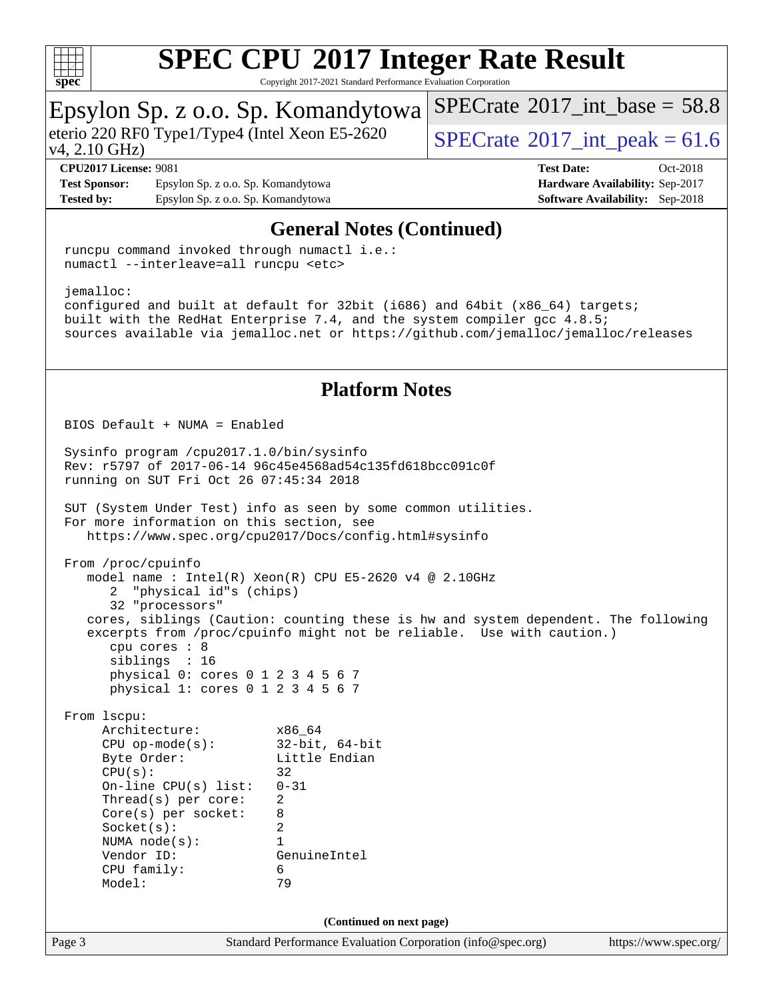

[SPECrate](http://www.spec.org/auto/cpu2017/Docs/result-fields.html#SPECrate2017intbase)<sup>®</sup>2017 int\_base =  $58.8$ 

Copyright 2017-2021 Standard Performance Evaluation Corporation

Epsylon Sp. z o.o. Sp. Komandytowa

#### Page 3 Standard Performance Evaluation Corporation [\(info@spec.org\)](mailto:info@spec.org) <https://www.spec.org/> v4, 2.10 GHz) eterio 220 RF0 Type1/Type4 (Intel Xeon E5-2620  $\sqrt{\text{SPECrate}^{\circ}2017}$  $\sqrt{\text{SPECrate}^{\circ}2017}$  $\sqrt{\text{SPECrate}^{\circ}2017}$  int peak = 61.6 **[CPU2017 License:](http://www.spec.org/auto/cpu2017/Docs/result-fields.html#CPU2017License)** 9081 **[Test Date:](http://www.spec.org/auto/cpu2017/Docs/result-fields.html#TestDate)** Oct-2018 **[Test Sponsor:](http://www.spec.org/auto/cpu2017/Docs/result-fields.html#TestSponsor)** Epsylon Sp. z o.o. Sp. Komandytowa **[Hardware Availability:](http://www.spec.org/auto/cpu2017/Docs/result-fields.html#HardwareAvailability)** Sep-2017 **[Tested by:](http://www.spec.org/auto/cpu2017/Docs/result-fields.html#Testedby)** Epsylon Sp. z o.o. Sp. Komandytowa **[Software Availability:](http://www.spec.org/auto/cpu2017/Docs/result-fields.html#SoftwareAvailability)** Sep-2018 **[General Notes \(Continued\)](http://www.spec.org/auto/cpu2017/Docs/result-fields.html#GeneralNotes)** runcpu command invoked through numactl i.e.: numactl --interleave=all runcpu <etc> jemalloc: configured and built at default for 32bit (i686) and 64bit (x86\_64) targets; built with the RedHat Enterprise 7.4, and the system compiler gcc 4.8.5; sources available via jemalloc.net or <https://github.com/jemalloc/jemalloc/releases> **[Platform Notes](http://www.spec.org/auto/cpu2017/Docs/result-fields.html#PlatformNotes)** BIOS Default + NUMA = Enabled Sysinfo program /cpu2017.1.0/bin/sysinfo Rev: r5797 of 2017-06-14 96c45e4568ad54c135fd618bcc091c0f running on SUT Fri Oct 26 07:45:34 2018 SUT (System Under Test) info as seen by some common utilities. For more information on this section, see <https://www.spec.org/cpu2017/Docs/config.html#sysinfo> From /proc/cpuinfo model name : Intel(R) Xeon(R) CPU E5-2620 v4 @ 2.10GHz 2 "physical id"s (chips) 32 "processors" cores, siblings (Caution: counting these is hw and system dependent. The following excerpts from /proc/cpuinfo might not be reliable. Use with caution.) cpu cores : 8 siblings : 16 physical 0: cores 0 1 2 3 4 5 6 7 physical 1: cores 0 1 2 3 4 5 6 7 From lscpu: Architecture: x86\_64 CPU op-mode(s): 32-bit, 64-bit Byte Order: Little Endian  $CPU(s):$  32 On-line CPU(s) list: 0-31 Thread(s) per core: 2 Core(s) per socket: 8 Socket(s): 2 NUMA node(s): 1 Vendor ID: GenuineIntel CPU family: 6 Model: 79 **(Continued on next page)**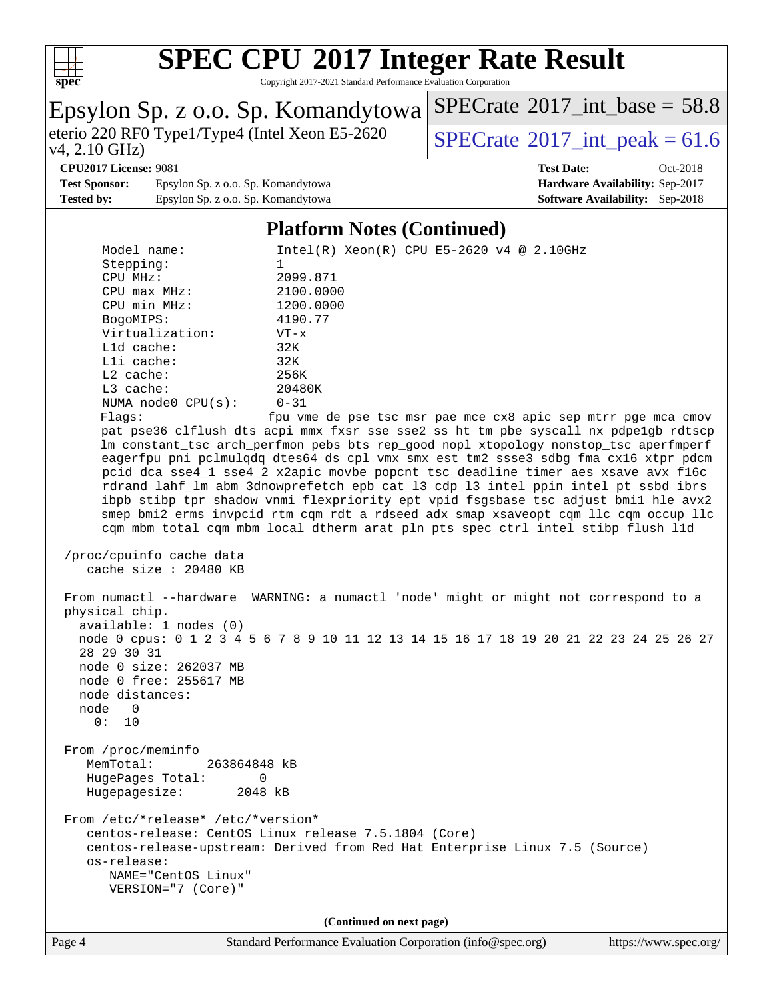

Copyright 2017-2021 Standard Performance Evaluation Corporation

| Epsylon Sp. z o.o. Sp. Komandytowa                                                                                                                                                                                                                                                                                                                                                                                                                                                                                                                                                                                                                                                                                                                                                                                                                                                                                                                                                                                                                                                                                                                                                                                                                                                                                                                                                                                                                                                                                                                                                                                                                                                                                                                                                                                                 | $SPECTate$ <sup>®</sup> 2017_int_base = 58.8                                                                 |
|------------------------------------------------------------------------------------------------------------------------------------------------------------------------------------------------------------------------------------------------------------------------------------------------------------------------------------------------------------------------------------------------------------------------------------------------------------------------------------------------------------------------------------------------------------------------------------------------------------------------------------------------------------------------------------------------------------------------------------------------------------------------------------------------------------------------------------------------------------------------------------------------------------------------------------------------------------------------------------------------------------------------------------------------------------------------------------------------------------------------------------------------------------------------------------------------------------------------------------------------------------------------------------------------------------------------------------------------------------------------------------------------------------------------------------------------------------------------------------------------------------------------------------------------------------------------------------------------------------------------------------------------------------------------------------------------------------------------------------------------------------------------------------------------------------------------------------|--------------------------------------------------------------------------------------------------------------|
| eterio 220 RF0 Type1/Type4 (Intel Xeon E5-2620)<br>$v4, 2.10 \text{ GHz}$                                                                                                                                                                                                                                                                                                                                                                                                                                                                                                                                                                                                                                                                                                                                                                                                                                                                                                                                                                                                                                                                                                                                                                                                                                                                                                                                                                                                                                                                                                                                                                                                                                                                                                                                                          | $SPECTate^{\circ}2017\_int\_peak = 61.6$                                                                     |
| <b>CPU2017 License: 9081</b><br><b>Test Sponsor:</b><br>Epsylon Sp. z o.o. Sp. Komandytowa<br><b>Tested by:</b><br>Epsylon Sp. z o.o. Sp. Komandytowa                                                                                                                                                                                                                                                                                                                                                                                                                                                                                                                                                                                                                                                                                                                                                                                                                                                                                                                                                                                                                                                                                                                                                                                                                                                                                                                                                                                                                                                                                                                                                                                                                                                                              | <b>Test Date:</b><br>Oct-2018<br>Hardware Availability: Sep-2017<br><b>Software Availability:</b> Sep-2018   |
| <b>Platform Notes (Continued)</b>                                                                                                                                                                                                                                                                                                                                                                                                                                                                                                                                                                                                                                                                                                                                                                                                                                                                                                                                                                                                                                                                                                                                                                                                                                                                                                                                                                                                                                                                                                                                                                                                                                                                                                                                                                                                  |                                                                                                              |
| Model name:<br>Stepping:<br>1<br>CPU MHz:<br>2099.871<br>CPU max MHz:<br>2100.0000<br>CPU min MHz:<br>1200.0000<br>BogoMIPS:<br>4190.77<br>Virtualization:<br>$VT - x$<br>L1d cache:<br>32K<br>Lli cache:<br>32K<br>L2 cache:<br>256K<br>L3 cache:<br>20480K<br>NUMA node0 CPU(s):<br>$0 - 31$<br>Flagg:<br>pat pse36 clflush dts acpi mmx fxsr sse sse2 ss ht tm pbe syscall nx pdpelgb rdtscp<br>lm constant_tsc arch_perfmon pebs bts rep_good nopl xtopology nonstop_tsc aperfmperf<br>eagerfpu pni pclmulqdq dtes64 ds_cpl vmx smx est tm2 ssse3 sdbg fma cx16 xtpr pdcm<br>pcid dca sse4_1 sse4_2 x2apic movbe popcnt tsc_deadline_timer aes xsave avx f16c<br>rdrand lahf_lm abm 3dnowprefetch epb cat_13 cdp_13 intel_ppin intel_pt ssbd ibrs<br>ibpb stibp tpr_shadow vnmi flexpriority ept vpid fsgsbase tsc_adjust bmil hle avx2<br>smep bmi2 erms invpcid rtm cqm rdt_a rdseed adx smap xsaveopt cqm_llc cqm_occup_llc<br>cqm_mbm_total cqm_mbm_local dtherm arat pln pts spec_ctrl intel_stibp flush_l1d<br>/proc/cpuinfo cache data<br>cache size : 20480 KB<br>From numactl --hardware WARNING: a numactl 'node' might or might not correspond to a<br>physical chip.<br>available: 1 nodes (0)<br>node 0 cpus: 0 1 2 3 4 5 6 7 8 9 10 11 12 13 14 15 16 17 18 19 20 21 22 23 24 25 26 27<br>28 29 30 31<br>node 0 size: 262037 MB<br>node 0 free: 255617 MB<br>node distances:<br>node<br>$\overline{\phantom{0}}$<br>0:<br>10<br>From /proc/meminfo<br>MemTotal:<br>263864848 kB<br>HugePages_Total:<br>$\Omega$<br>2048 kB<br>Hugepagesize:<br>From /etc/*release* /etc/*version*<br>centos-release: CentOS Linux release 7.5.1804 (Core)<br>centos-release-upstream: Derived from Red Hat Enterprise Linux 7.5 (Source)<br>os-release:<br>NAME="CentOS Linux"<br>VERSION="7 (Core)"<br>(Continued on next page) | $Intel(R) Xeon(R) CPU E5-2620 v4 @ 2.10GHz$<br>fpu vme de pse tsc msr pae mce cx8 apic sep mtrr pge mca cmov |
| Standard Performance Evaluation Corporation (info@spec.org)<br>Page 4                                                                                                                                                                                                                                                                                                                                                                                                                                                                                                                                                                                                                                                                                                                                                                                                                                                                                                                                                                                                                                                                                                                                                                                                                                                                                                                                                                                                                                                                                                                                                                                                                                                                                                                                                              | https://www.spec.org/                                                                                        |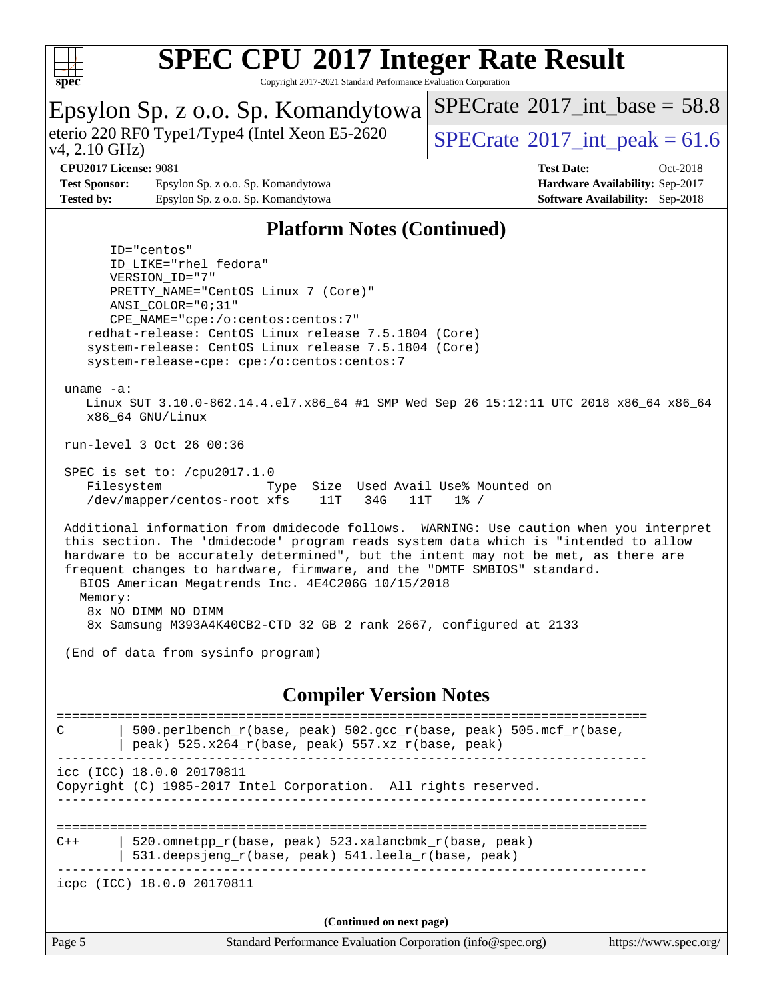

Copyright 2017-2021 Standard Performance Evaluation Corporation

#### Epsylon Sp. z o.o. Sp. Komandytowa v4, 2.10 GHz) eterio 220 RF0 Type1/Type4 (Intel Xeon E5-2620  $\sqrt{\text{SPECrate}^{\circ}2017}$  $\sqrt{\text{SPECrate}^{\circ}2017}$  $\sqrt{\text{SPECrate}^{\circ}2017}$  int peak = 61.6 [SPECrate](http://www.spec.org/auto/cpu2017/Docs/result-fields.html#SPECrate2017intbase)<sup>®</sup>2017 int\_base =  $58.8$ **[CPU2017 License:](http://www.spec.org/auto/cpu2017/Docs/result-fields.html#CPU2017License)** 9081 **[Test Date:](http://www.spec.org/auto/cpu2017/Docs/result-fields.html#TestDate)** Oct-2018 **[Test Sponsor:](http://www.spec.org/auto/cpu2017/Docs/result-fields.html#TestSponsor)** Epsylon Sp. z o.o. Sp. Komandytowa **[Hardware Availability:](http://www.spec.org/auto/cpu2017/Docs/result-fields.html#HardwareAvailability)** Sep-2017 **[Tested by:](http://www.spec.org/auto/cpu2017/Docs/result-fields.html#Testedby)** Epsylon Sp. z o.o. Sp. Komandytowa **[Software Availability:](http://www.spec.org/auto/cpu2017/Docs/result-fields.html#SoftwareAvailability)** Sep-2018 **[Platform Notes \(Continued\)](http://www.spec.org/auto/cpu2017/Docs/result-fields.html#PlatformNotes)** ID="centos" ID\_LIKE="rhel fedora" VERSION\_ID="7" PRETTY\_NAME="CentOS Linux 7 (Core)" ANSI\_COLOR="0;31" CPE\_NAME="cpe:/o:centos:centos:7" redhat-release: CentOS Linux release 7.5.1804 (Core) system-release: CentOS Linux release 7.5.1804 (Core) system-release-cpe: cpe:/o:centos:centos:7 uname -a: Linux SUT 3.10.0-862.14.4.el7.x86\_64 #1 SMP Wed Sep 26 15:12:11 UTC 2018 x86\_64 x86\_64 x86\_64 GNU/Linux run-level 3 Oct 26 00:36 SPEC is set to: /cpu2017.1.0 Filesystem Type Size Used Avail Use% Mounted on /dev/mapper/centos-root xfs 11T 34G 11T 1% / Additional information from dmidecode follows. WARNING: Use caution when you interpret this section. The 'dmidecode' program reads system data which is "intended to allow hardware to be accurately determined", but the intent may not be met, as there are frequent changes to hardware, firmware, and the "DMTF SMBIOS" standard. BIOS American Megatrends Inc. 4E4C206G 10/15/2018 Memory: 8x NO DIMM NO DIMM 8x Samsung M393A4K40CB2-CTD 32 GB 2 rank 2667, configured at 2133 (End of data from sysinfo program) **[Compiler Version Notes](http://www.spec.org/auto/cpu2017/Docs/result-fields.html#CompilerVersionNotes)** ============================================================================== C | 500.perlbench\_r(base, peak) 502.gcc\_r(base, peak) 505.mcf\_r(base, | peak) 525.x264\_r(base, peak) 557.xz\_r(base, peak) ----------------------------------------------------------------------------- icc (ICC) 18.0.0 20170811 Copyright (C) 1985-2017 Intel Corporation. All rights reserved. ------------------------------------------------------------------------------ ============================================================================== C++ | 520.omnetpp\_r(base, peak) 523.xalancbmk\_r(base, peak) | 531.deepsjeng\_r(base, peak) 541.leela\_r(base, peak) ----------------------------------------------------------------------------- icpc (ICC) 18.0.0 20170811 **(Continued on next page)**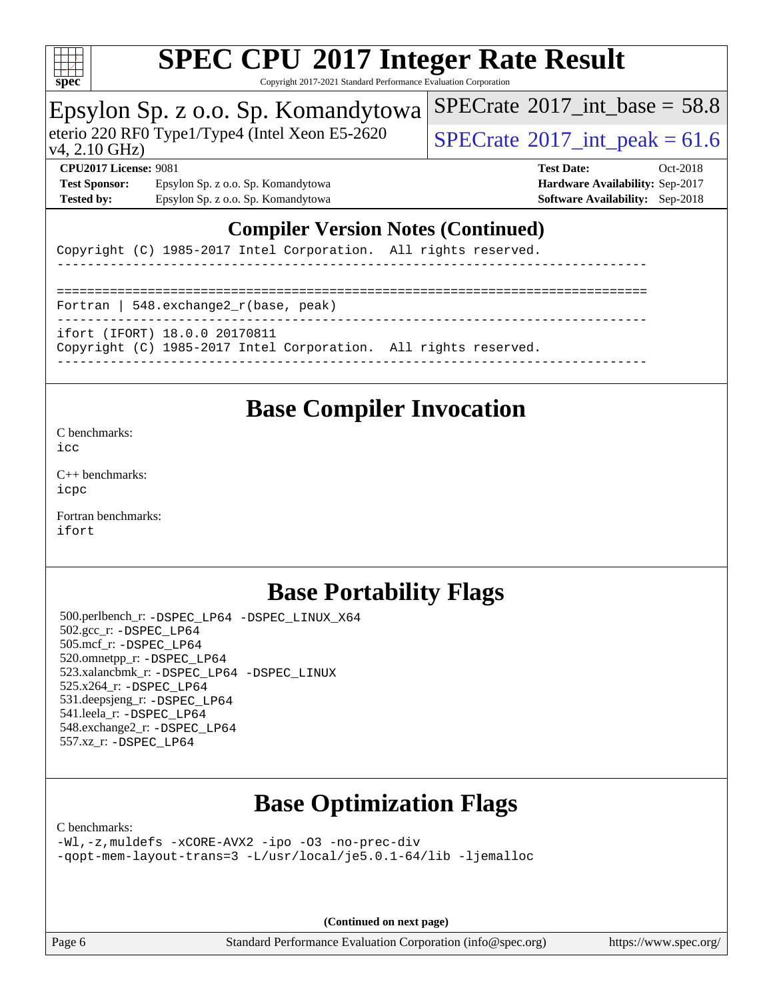

Copyright 2017-2021 Standard Performance Evaluation Corporation

### Epsylon Sp. z o.o. Sp. Komandytowa

eterio 220 RF0 Type1/Type4 (Intel Xeon E5-2620  $\sqrt{\text{SPECrate}^{\circ}2017}$  $\sqrt{\text{SPECrate}^{\circ}2017}$  $\sqrt{\text{SPECrate}^{\circ}2017}$  int peak = 61.6

[SPECrate](http://www.spec.org/auto/cpu2017/Docs/result-fields.html#SPECrate2017intbase)<sup>®</sup>2017 int\_base =  $58.8$ 

### v4, 2.10 GHz)

**[Test Sponsor:](http://www.spec.org/auto/cpu2017/Docs/result-fields.html#TestSponsor)** Epsylon Sp. z o.o. Sp. Komandytowa **[Hardware Availability:](http://www.spec.org/auto/cpu2017/Docs/result-fields.html#HardwareAvailability)** Sep-2017 **[Tested by:](http://www.spec.org/auto/cpu2017/Docs/result-fields.html#Testedby)** Epsylon Sp. z o.o. Sp. Komandytowa **[Software Availability:](http://www.spec.org/auto/cpu2017/Docs/result-fields.html#SoftwareAvailability)** Sep-2018

**[CPU2017 License:](http://www.spec.org/auto/cpu2017/Docs/result-fields.html#CPU2017License)** 9081 **[Test Date:](http://www.spec.org/auto/cpu2017/Docs/result-fields.html#TestDate)** Oct-2018

### **[Compiler Version Notes \(Continued\)](http://www.spec.org/auto/cpu2017/Docs/result-fields.html#CompilerVersionNotes)**

Copyright (C) 1985-2017 Intel Corporation. All rights reserved.

------------------------------------------------------------------------------ ============================================================================== Fortran | 548.exchange2\_r(base, peak) ----------------------------------------------------------------------------- ifort (IFORT) 18.0.0 20170811 Copyright (C) 1985-2017 Intel Corporation. All rights reserved. ------------------------------------------------------------------------------

### **[Base Compiler Invocation](http://www.spec.org/auto/cpu2017/Docs/result-fields.html#BaseCompilerInvocation)**

[C benchmarks](http://www.spec.org/auto/cpu2017/Docs/result-fields.html#Cbenchmarks):

[icc](http://www.spec.org/cpu2017/results/res2018q4/cpu2017-20181029-09319.flags.html#user_CCbase_intel_icc_18.0_66fc1ee009f7361af1fbd72ca7dcefbb700085f36577c54f309893dd4ec40d12360134090235512931783d35fd58c0460139e722d5067c5574d8eaf2b3e37e92)

[C++ benchmarks:](http://www.spec.org/auto/cpu2017/Docs/result-fields.html#CXXbenchmarks) [icpc](http://www.spec.org/cpu2017/results/res2018q4/cpu2017-20181029-09319.flags.html#user_CXXbase_intel_icpc_18.0_c510b6838c7f56d33e37e94d029a35b4a7bccf4766a728ee175e80a419847e808290a9b78be685c44ab727ea267ec2f070ec5dc83b407c0218cded6866a35d07)

[Fortran benchmarks](http://www.spec.org/auto/cpu2017/Docs/result-fields.html#Fortranbenchmarks): [ifort](http://www.spec.org/cpu2017/results/res2018q4/cpu2017-20181029-09319.flags.html#user_FCbase_intel_ifort_18.0_8111460550e3ca792625aed983ce982f94888b8b503583aa7ba2b8303487b4d8a21a13e7191a45c5fd58ff318f48f9492884d4413fa793fd88dd292cad7027ca)

## **[Base Portability Flags](http://www.spec.org/auto/cpu2017/Docs/result-fields.html#BasePortabilityFlags)**

 500.perlbench\_r: [-DSPEC\\_LP64](http://www.spec.org/cpu2017/results/res2018q4/cpu2017-20181029-09319.flags.html#b500.perlbench_r_basePORTABILITY_DSPEC_LP64) [-DSPEC\\_LINUX\\_X64](http://www.spec.org/cpu2017/results/res2018q4/cpu2017-20181029-09319.flags.html#b500.perlbench_r_baseCPORTABILITY_DSPEC_LINUX_X64) 502.gcc\_r: [-DSPEC\\_LP64](http://www.spec.org/cpu2017/results/res2018q4/cpu2017-20181029-09319.flags.html#suite_basePORTABILITY502_gcc_r_DSPEC_LP64) 505.mcf\_r: [-DSPEC\\_LP64](http://www.spec.org/cpu2017/results/res2018q4/cpu2017-20181029-09319.flags.html#suite_basePORTABILITY505_mcf_r_DSPEC_LP64) 520.omnetpp\_r: [-DSPEC\\_LP64](http://www.spec.org/cpu2017/results/res2018q4/cpu2017-20181029-09319.flags.html#suite_basePORTABILITY520_omnetpp_r_DSPEC_LP64) 523.xalancbmk\_r: [-DSPEC\\_LP64](http://www.spec.org/cpu2017/results/res2018q4/cpu2017-20181029-09319.flags.html#suite_basePORTABILITY523_xalancbmk_r_DSPEC_LP64) [-DSPEC\\_LINUX](http://www.spec.org/cpu2017/results/res2018q4/cpu2017-20181029-09319.flags.html#b523.xalancbmk_r_baseCXXPORTABILITY_DSPEC_LINUX) 525.x264\_r: [-DSPEC\\_LP64](http://www.spec.org/cpu2017/results/res2018q4/cpu2017-20181029-09319.flags.html#suite_basePORTABILITY525_x264_r_DSPEC_LP64) 531.deepsjeng\_r: [-DSPEC\\_LP64](http://www.spec.org/cpu2017/results/res2018q4/cpu2017-20181029-09319.flags.html#suite_basePORTABILITY531_deepsjeng_r_DSPEC_LP64) 541.leela\_r: [-DSPEC\\_LP64](http://www.spec.org/cpu2017/results/res2018q4/cpu2017-20181029-09319.flags.html#suite_basePORTABILITY541_leela_r_DSPEC_LP64) 548.exchange2\_r: [-DSPEC\\_LP64](http://www.spec.org/cpu2017/results/res2018q4/cpu2017-20181029-09319.flags.html#suite_basePORTABILITY548_exchange2_r_DSPEC_LP64) 557.xz\_r: [-DSPEC\\_LP64](http://www.spec.org/cpu2017/results/res2018q4/cpu2017-20181029-09319.flags.html#suite_basePORTABILITY557_xz_r_DSPEC_LP64)

## **[Base Optimization Flags](http://www.spec.org/auto/cpu2017/Docs/result-fields.html#BaseOptimizationFlags)**

[C benchmarks](http://www.spec.org/auto/cpu2017/Docs/result-fields.html#Cbenchmarks):

[-Wl,-z,muldefs](http://www.spec.org/cpu2017/results/res2018q4/cpu2017-20181029-09319.flags.html#user_CCbase_link_force_multiple1_b4cbdb97b34bdee9ceefcfe54f4c8ea74255f0b02a4b23e853cdb0e18eb4525ac79b5a88067c842dd0ee6996c24547a27a4b99331201badda8798ef8a743f577) [-xCORE-AVX2](http://www.spec.org/cpu2017/results/res2018q4/cpu2017-20181029-09319.flags.html#user_CCbase_f-xCORE-AVX2) [-ipo](http://www.spec.org/cpu2017/results/res2018q4/cpu2017-20181029-09319.flags.html#user_CCbase_f-ipo) [-O3](http://www.spec.org/cpu2017/results/res2018q4/cpu2017-20181029-09319.flags.html#user_CCbase_f-O3) [-no-prec-div](http://www.spec.org/cpu2017/results/res2018q4/cpu2017-20181029-09319.flags.html#user_CCbase_f-no-prec-div) [-qopt-mem-layout-trans=3](http://www.spec.org/cpu2017/results/res2018q4/cpu2017-20181029-09319.flags.html#user_CCbase_f-qopt-mem-layout-trans_de80db37974c74b1f0e20d883f0b675c88c3b01e9d123adea9b28688d64333345fb62bc4a798493513fdb68f60282f9a726aa07f478b2f7113531aecce732043) [-L/usr/local/je5.0.1-64/lib](http://www.spec.org/cpu2017/results/res2018q4/cpu2017-20181029-09319.flags.html#user_CCbase_jemalloc_link_path64_4b10a636b7bce113509b17f3bd0d6226c5fb2346b9178c2d0232c14f04ab830f976640479e5c33dc2bcbbdad86ecfb6634cbbd4418746f06f368b512fced5394) [-ljemalloc](http://www.spec.org/cpu2017/results/res2018q4/cpu2017-20181029-09319.flags.html#user_CCbase_jemalloc_link_lib_d1249b907c500fa1c0672f44f562e3d0f79738ae9e3c4a9c376d49f265a04b9c99b167ecedbf6711b3085be911c67ff61f150a17b3472be731631ba4d0471706)

**(Continued on next page)**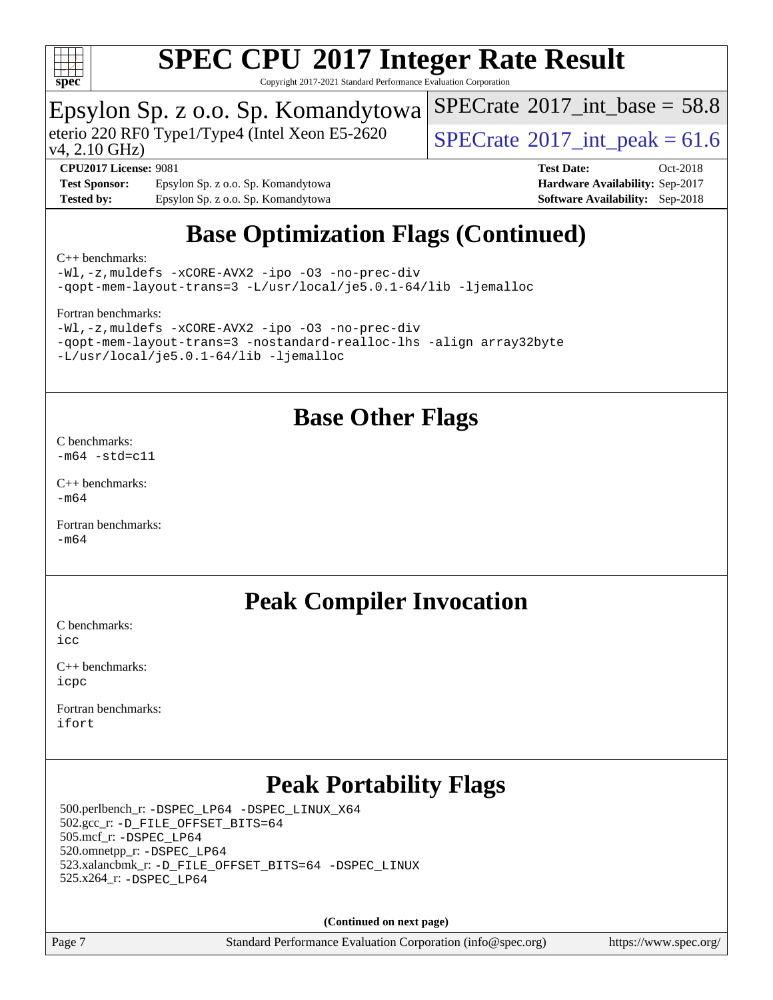

Copyright 2017-2021 Standard Performance Evaluation Corporation

### Epsylon Sp. z o.o. Sp. Komandytowa

eterio 220 RF0 Type1/Type4 (Intel Xeon E5-2620 [SPECrate](http://www.spec.org/auto/cpu2017/Docs/result-fields.html#SPECrate2017intpeak)® 2017 int\_peak = 61.6

[SPECrate](http://www.spec.org/auto/cpu2017/Docs/result-fields.html#SPECrate2017intbase)<sup>®</sup>2017 int\_base =  $58.8$ 

v4, 2.10 GHz)

**[Test Sponsor:](http://www.spec.org/auto/cpu2017/Docs/result-fields.html#TestSponsor)** Epsylon Sp. z o.o. Sp. Komandytowa **[Hardware Availability:](http://www.spec.org/auto/cpu2017/Docs/result-fields.html#HardwareAvailability)** Sep-2017 **[Tested by:](http://www.spec.org/auto/cpu2017/Docs/result-fields.html#Testedby)** Epsylon Sp. z o.o. Sp. Komandytowa **[Software Availability:](http://www.spec.org/auto/cpu2017/Docs/result-fields.html#SoftwareAvailability)** Sep-2018

**[CPU2017 License:](http://www.spec.org/auto/cpu2017/Docs/result-fields.html#CPU2017License)** 9081 **[Test Date:](http://www.spec.org/auto/cpu2017/Docs/result-fields.html#TestDate)** Oct-2018

## **[Base Optimization Flags \(Continued\)](http://www.spec.org/auto/cpu2017/Docs/result-fields.html#BaseOptimizationFlags)**

[C++ benchmarks:](http://www.spec.org/auto/cpu2017/Docs/result-fields.html#CXXbenchmarks)

[-Wl,-z,muldefs](http://www.spec.org/cpu2017/results/res2018q4/cpu2017-20181029-09319.flags.html#user_CXXbase_link_force_multiple1_b4cbdb97b34bdee9ceefcfe54f4c8ea74255f0b02a4b23e853cdb0e18eb4525ac79b5a88067c842dd0ee6996c24547a27a4b99331201badda8798ef8a743f577) [-xCORE-AVX2](http://www.spec.org/cpu2017/results/res2018q4/cpu2017-20181029-09319.flags.html#user_CXXbase_f-xCORE-AVX2) [-ipo](http://www.spec.org/cpu2017/results/res2018q4/cpu2017-20181029-09319.flags.html#user_CXXbase_f-ipo) [-O3](http://www.spec.org/cpu2017/results/res2018q4/cpu2017-20181029-09319.flags.html#user_CXXbase_f-O3) [-no-prec-div](http://www.spec.org/cpu2017/results/res2018q4/cpu2017-20181029-09319.flags.html#user_CXXbase_f-no-prec-div) [-qopt-mem-layout-trans=3](http://www.spec.org/cpu2017/results/res2018q4/cpu2017-20181029-09319.flags.html#user_CXXbase_f-qopt-mem-layout-trans_de80db37974c74b1f0e20d883f0b675c88c3b01e9d123adea9b28688d64333345fb62bc4a798493513fdb68f60282f9a726aa07f478b2f7113531aecce732043) [-L/usr/local/je5.0.1-64/lib](http://www.spec.org/cpu2017/results/res2018q4/cpu2017-20181029-09319.flags.html#user_CXXbase_jemalloc_link_path64_4b10a636b7bce113509b17f3bd0d6226c5fb2346b9178c2d0232c14f04ab830f976640479e5c33dc2bcbbdad86ecfb6634cbbd4418746f06f368b512fced5394) [-ljemalloc](http://www.spec.org/cpu2017/results/res2018q4/cpu2017-20181029-09319.flags.html#user_CXXbase_jemalloc_link_lib_d1249b907c500fa1c0672f44f562e3d0f79738ae9e3c4a9c376d49f265a04b9c99b167ecedbf6711b3085be911c67ff61f150a17b3472be731631ba4d0471706)

[Fortran benchmarks](http://www.spec.org/auto/cpu2017/Docs/result-fields.html#Fortranbenchmarks):

```
-Wl,-z,muldefs -xCORE-AVX2 -ipo -O3 -no-prec-div
-qopt-mem-layout-trans=3 -nostandard-realloc-lhs -align array32byte
-L/usr/local/je5.0.1-64/lib -ljemalloc
```
### **[Base Other Flags](http://www.spec.org/auto/cpu2017/Docs/result-fields.html#BaseOtherFlags)**

[C benchmarks](http://www.spec.org/auto/cpu2017/Docs/result-fields.html#Cbenchmarks):  $-m64 - std= c11$  $-m64 - std= c11$ 

[C++ benchmarks:](http://www.spec.org/auto/cpu2017/Docs/result-fields.html#CXXbenchmarks)  $-m64$ 

[Fortran benchmarks](http://www.spec.org/auto/cpu2017/Docs/result-fields.html#Fortranbenchmarks): [-m64](http://www.spec.org/cpu2017/results/res2018q4/cpu2017-20181029-09319.flags.html#user_FCbase_intel_intel64_18.0_af43caccfc8ded86e7699f2159af6efc7655f51387b94da716254467f3c01020a5059329e2569e4053f409e7c9202a7efc638f7a6d1ffb3f52dea4a3e31d82ab)

## **[Peak Compiler Invocation](http://www.spec.org/auto/cpu2017/Docs/result-fields.html#PeakCompilerInvocation)**

[C benchmarks](http://www.spec.org/auto/cpu2017/Docs/result-fields.html#Cbenchmarks):  $i$ cc

[C++ benchmarks:](http://www.spec.org/auto/cpu2017/Docs/result-fields.html#CXXbenchmarks) [icpc](http://www.spec.org/cpu2017/results/res2018q4/cpu2017-20181029-09319.flags.html#user_CXXpeak_intel_icpc_18.0_c510b6838c7f56d33e37e94d029a35b4a7bccf4766a728ee175e80a419847e808290a9b78be685c44ab727ea267ec2f070ec5dc83b407c0218cded6866a35d07)

[Fortran benchmarks](http://www.spec.org/auto/cpu2017/Docs/result-fields.html#Fortranbenchmarks): [ifort](http://www.spec.org/cpu2017/results/res2018q4/cpu2017-20181029-09319.flags.html#user_FCpeak_intel_ifort_18.0_8111460550e3ca792625aed983ce982f94888b8b503583aa7ba2b8303487b4d8a21a13e7191a45c5fd58ff318f48f9492884d4413fa793fd88dd292cad7027ca)

## **[Peak Portability Flags](http://www.spec.org/auto/cpu2017/Docs/result-fields.html#PeakPortabilityFlags)**

 500.perlbench\_r: [-DSPEC\\_LP64](http://www.spec.org/cpu2017/results/res2018q4/cpu2017-20181029-09319.flags.html#b500.perlbench_r_peakPORTABILITY_DSPEC_LP64) [-DSPEC\\_LINUX\\_X64](http://www.spec.org/cpu2017/results/res2018q4/cpu2017-20181029-09319.flags.html#b500.perlbench_r_peakCPORTABILITY_DSPEC_LINUX_X64) 502.gcc\_r: [-D\\_FILE\\_OFFSET\\_BITS=64](http://www.spec.org/cpu2017/results/res2018q4/cpu2017-20181029-09319.flags.html#user_peakPORTABILITY502_gcc_r_file_offset_bits_64_5ae949a99b284ddf4e95728d47cb0843d81b2eb0e18bdfe74bbf0f61d0b064f4bda2f10ea5eb90e1dcab0e84dbc592acfc5018bc955c18609f94ddb8d550002c) 505.mcf\_r: [-DSPEC\\_LP64](http://www.spec.org/cpu2017/results/res2018q4/cpu2017-20181029-09319.flags.html#suite_peakPORTABILITY505_mcf_r_DSPEC_LP64) 520.omnetpp\_r: [-DSPEC\\_LP64](http://www.spec.org/cpu2017/results/res2018q4/cpu2017-20181029-09319.flags.html#suite_peakPORTABILITY520_omnetpp_r_DSPEC_LP64) 523.xalancbmk\_r: [-D\\_FILE\\_OFFSET\\_BITS=64](http://www.spec.org/cpu2017/results/res2018q4/cpu2017-20181029-09319.flags.html#user_peakPORTABILITY523_xalancbmk_r_file_offset_bits_64_5ae949a99b284ddf4e95728d47cb0843d81b2eb0e18bdfe74bbf0f61d0b064f4bda2f10ea5eb90e1dcab0e84dbc592acfc5018bc955c18609f94ddb8d550002c) [-DSPEC\\_LINUX](http://www.spec.org/cpu2017/results/res2018q4/cpu2017-20181029-09319.flags.html#b523.xalancbmk_r_peakCXXPORTABILITY_DSPEC_LINUX) 525.x264\_r: [-DSPEC\\_LP64](http://www.spec.org/cpu2017/results/res2018q4/cpu2017-20181029-09319.flags.html#suite_peakPORTABILITY525_x264_r_DSPEC_LP64)

**(Continued on next page)**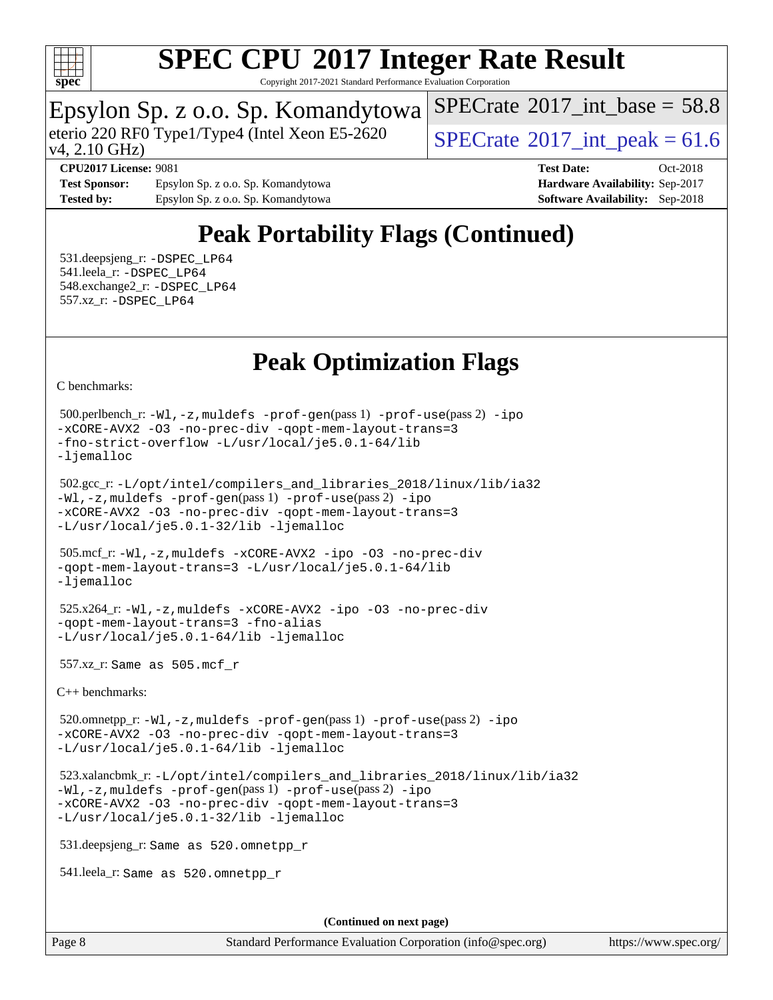

Copyright 2017-2021 Standard Performance Evaluation Corporation

### Epsylon Sp. z o.o. Sp. Komandytowa

v4, 2.10 GHz) eterio 220 RF0 Type1/Type4 (Intel Xeon E5-2620 [SPECrate](http://www.spec.org/auto/cpu2017/Docs/result-fields.html#SPECrate2017intpeak)® 2017 int\_peak = 61.6

[SPECrate](http://www.spec.org/auto/cpu2017/Docs/result-fields.html#SPECrate2017intbase)<sup>®</sup>2017 int\_base =  $58.8$ 

**[Test Sponsor:](http://www.spec.org/auto/cpu2017/Docs/result-fields.html#TestSponsor)** Epsylon Sp. z o.o. Sp. Komandytowa **[Hardware Availability:](http://www.spec.org/auto/cpu2017/Docs/result-fields.html#HardwareAvailability)** Sep-2017 **[Tested by:](http://www.spec.org/auto/cpu2017/Docs/result-fields.html#Testedby)** Epsylon Sp. z o.o. Sp. Komandytowa **[Software Availability:](http://www.spec.org/auto/cpu2017/Docs/result-fields.html#SoftwareAvailability)** Sep-2018

**[CPU2017 License:](http://www.spec.org/auto/cpu2017/Docs/result-fields.html#CPU2017License)** 9081 **[Test Date:](http://www.spec.org/auto/cpu2017/Docs/result-fields.html#TestDate)** Oct-2018

## **[Peak Portability Flags \(Continued\)](http://www.spec.org/auto/cpu2017/Docs/result-fields.html#PeakPortabilityFlags)**

 531.deepsjeng\_r: [-DSPEC\\_LP64](http://www.spec.org/cpu2017/results/res2018q4/cpu2017-20181029-09319.flags.html#suite_peakPORTABILITY531_deepsjeng_r_DSPEC_LP64) 541.leela\_r: [-DSPEC\\_LP64](http://www.spec.org/cpu2017/results/res2018q4/cpu2017-20181029-09319.flags.html#suite_peakPORTABILITY541_leela_r_DSPEC_LP64) 548.exchange2\_r: [-DSPEC\\_LP64](http://www.spec.org/cpu2017/results/res2018q4/cpu2017-20181029-09319.flags.html#suite_peakPORTABILITY548_exchange2_r_DSPEC_LP64) 557.xz\_r: [-DSPEC\\_LP64](http://www.spec.org/cpu2017/results/res2018q4/cpu2017-20181029-09319.flags.html#suite_peakPORTABILITY557_xz_r_DSPEC_LP64)

## **[Peak Optimization Flags](http://www.spec.org/auto/cpu2017/Docs/result-fields.html#PeakOptimizationFlags)**

[C benchmarks](http://www.spec.org/auto/cpu2017/Docs/result-fields.html#Cbenchmarks):

 500.perlbench\_r: [-Wl,-z,muldefs](http://www.spec.org/cpu2017/results/res2018q4/cpu2017-20181029-09319.flags.html#user_peakEXTRA_LDFLAGS500_perlbench_r_link_force_multiple1_b4cbdb97b34bdee9ceefcfe54f4c8ea74255f0b02a4b23e853cdb0e18eb4525ac79b5a88067c842dd0ee6996c24547a27a4b99331201badda8798ef8a743f577) [-prof-gen](http://www.spec.org/cpu2017/results/res2018q4/cpu2017-20181029-09319.flags.html#user_peakPASS1_CFLAGSPASS1_LDFLAGS500_perlbench_r_prof_gen_5aa4926d6013ddb2a31985c654b3eb18169fc0c6952a63635c234f711e6e63dd76e94ad52365559451ec499a2cdb89e4dc58ba4c67ef54ca681ffbe1461d6b36)(pass 1) [-prof-use](http://www.spec.org/cpu2017/results/res2018q4/cpu2017-20181029-09319.flags.html#user_peakPASS2_CFLAGSPASS2_LDFLAGS500_perlbench_r_prof_use_1a21ceae95f36a2b53c25747139a6c16ca95bd9def2a207b4f0849963b97e94f5260e30a0c64f4bb623698870e679ca08317ef8150905d41bd88c6f78df73f19)(pass 2) [-ipo](http://www.spec.org/cpu2017/results/res2018q4/cpu2017-20181029-09319.flags.html#user_peakPASS1_COPTIMIZEPASS2_COPTIMIZE500_perlbench_r_f-ipo) [-xCORE-AVX2](http://www.spec.org/cpu2017/results/res2018q4/cpu2017-20181029-09319.flags.html#user_peakPASS2_COPTIMIZE500_perlbench_r_f-xCORE-AVX2) [-O3](http://www.spec.org/cpu2017/results/res2018q4/cpu2017-20181029-09319.flags.html#user_peakPASS1_COPTIMIZEPASS2_COPTIMIZE500_perlbench_r_f-O3) [-no-prec-div](http://www.spec.org/cpu2017/results/res2018q4/cpu2017-20181029-09319.flags.html#user_peakPASS1_COPTIMIZEPASS2_COPTIMIZE500_perlbench_r_f-no-prec-div) [-qopt-mem-layout-trans=3](http://www.spec.org/cpu2017/results/res2018q4/cpu2017-20181029-09319.flags.html#user_peakPASS1_COPTIMIZEPASS2_COPTIMIZE500_perlbench_r_f-qopt-mem-layout-trans_de80db37974c74b1f0e20d883f0b675c88c3b01e9d123adea9b28688d64333345fb62bc4a798493513fdb68f60282f9a726aa07f478b2f7113531aecce732043) [-fno-strict-overflow](http://www.spec.org/cpu2017/results/res2018q4/cpu2017-20181029-09319.flags.html#user_peakEXTRA_OPTIMIZE500_perlbench_r_f-fno-strict-overflow) [-L/usr/local/je5.0.1-64/lib](http://www.spec.org/cpu2017/results/res2018q4/cpu2017-20181029-09319.flags.html#user_peakEXTRA_LIBS500_perlbench_r_jemalloc_link_path64_4b10a636b7bce113509b17f3bd0d6226c5fb2346b9178c2d0232c14f04ab830f976640479e5c33dc2bcbbdad86ecfb6634cbbd4418746f06f368b512fced5394) [-ljemalloc](http://www.spec.org/cpu2017/results/res2018q4/cpu2017-20181029-09319.flags.html#user_peakEXTRA_LIBS500_perlbench_r_jemalloc_link_lib_d1249b907c500fa1c0672f44f562e3d0f79738ae9e3c4a9c376d49f265a04b9c99b167ecedbf6711b3085be911c67ff61f150a17b3472be731631ba4d0471706)

```
 502.gcc_r: -L/opt/intel/compilers_and_libraries_2018/linux/lib/ia32
-Wl,-z,muldefs -prof-gen(pass 1) -prof-use(pass 2) -ipo
-xCORE-AVX2 -O3 -no-prec-div -qopt-mem-layout-trans=3
-L/usr/local/je5.0.1-32/lib -ljemalloc
```

```
 505.mcf_r: -Wl,-z,muldefs -xCORE-AVX2 -ipo -O3 -no-prec-div
-qopt-mem-layout-trans=3 -L/usr/local/je5.0.1-64/lib
-ljemalloc
```

```
 525.x264_r: -Wl,-z,muldefs -xCORE-AVX2 -ipo -O3 -no-prec-div
-qopt-mem-layout-trans=3 -fno-alias
-L/usr/local/je5.0.1-64/lib -ljemalloc
```
557.xz\_r: Same as 505.mcf\_r

[C++ benchmarks:](http://www.spec.org/auto/cpu2017/Docs/result-fields.html#CXXbenchmarks)

 520.omnetpp\_r: [-Wl,-z,muldefs](http://www.spec.org/cpu2017/results/res2018q4/cpu2017-20181029-09319.flags.html#user_peakEXTRA_LDFLAGS520_omnetpp_r_link_force_multiple1_b4cbdb97b34bdee9ceefcfe54f4c8ea74255f0b02a4b23e853cdb0e18eb4525ac79b5a88067c842dd0ee6996c24547a27a4b99331201badda8798ef8a743f577) [-prof-gen](http://www.spec.org/cpu2017/results/res2018q4/cpu2017-20181029-09319.flags.html#user_peakPASS1_CXXFLAGSPASS1_LDFLAGS520_omnetpp_r_prof_gen_5aa4926d6013ddb2a31985c654b3eb18169fc0c6952a63635c234f711e6e63dd76e94ad52365559451ec499a2cdb89e4dc58ba4c67ef54ca681ffbe1461d6b36)(pass 1) [-prof-use](http://www.spec.org/cpu2017/results/res2018q4/cpu2017-20181029-09319.flags.html#user_peakPASS2_CXXFLAGSPASS2_LDFLAGS520_omnetpp_r_prof_use_1a21ceae95f36a2b53c25747139a6c16ca95bd9def2a207b4f0849963b97e94f5260e30a0c64f4bb623698870e679ca08317ef8150905d41bd88c6f78df73f19)(pass 2) [-ipo](http://www.spec.org/cpu2017/results/res2018q4/cpu2017-20181029-09319.flags.html#user_peakPASS1_CXXOPTIMIZEPASS2_CXXOPTIMIZE520_omnetpp_r_f-ipo) [-xCORE-AVX2](http://www.spec.org/cpu2017/results/res2018q4/cpu2017-20181029-09319.flags.html#user_peakPASS2_CXXOPTIMIZE520_omnetpp_r_f-xCORE-AVX2) [-O3](http://www.spec.org/cpu2017/results/res2018q4/cpu2017-20181029-09319.flags.html#user_peakPASS1_CXXOPTIMIZEPASS2_CXXOPTIMIZE520_omnetpp_r_f-O3) [-no-prec-div](http://www.spec.org/cpu2017/results/res2018q4/cpu2017-20181029-09319.flags.html#user_peakPASS1_CXXOPTIMIZEPASS2_CXXOPTIMIZE520_omnetpp_r_f-no-prec-div) [-qopt-mem-layout-trans=3](http://www.spec.org/cpu2017/results/res2018q4/cpu2017-20181029-09319.flags.html#user_peakPASS1_CXXOPTIMIZEPASS2_CXXOPTIMIZE520_omnetpp_r_f-qopt-mem-layout-trans_de80db37974c74b1f0e20d883f0b675c88c3b01e9d123adea9b28688d64333345fb62bc4a798493513fdb68f60282f9a726aa07f478b2f7113531aecce732043) [-L/usr/local/je5.0.1-64/lib](http://www.spec.org/cpu2017/results/res2018q4/cpu2017-20181029-09319.flags.html#user_peakEXTRA_LIBS520_omnetpp_r_jemalloc_link_path64_4b10a636b7bce113509b17f3bd0d6226c5fb2346b9178c2d0232c14f04ab830f976640479e5c33dc2bcbbdad86ecfb6634cbbd4418746f06f368b512fced5394) [-ljemalloc](http://www.spec.org/cpu2017/results/res2018q4/cpu2017-20181029-09319.flags.html#user_peakEXTRA_LIBS520_omnetpp_r_jemalloc_link_lib_d1249b907c500fa1c0672f44f562e3d0f79738ae9e3c4a9c376d49f265a04b9c99b167ecedbf6711b3085be911c67ff61f150a17b3472be731631ba4d0471706)

```
 523.xalancbmk_r: -L/opt/intel/compilers_and_libraries_2018/linux/lib/ia32
-Wl,-z,muldefs -prof-gen(pass 1) -prof-use(pass 2) -ipo
-xCORE-AVX2 -O3 -no-prec-div -qopt-mem-layout-trans=3
-L/usr/local/je5.0.1-32/lib -ljemalloc
```
531.deepsjeng\_r: Same as 520.omnetpp\_r

541.leela\_r: Same as 520.omnetpp\_r

**(Continued on next page)**